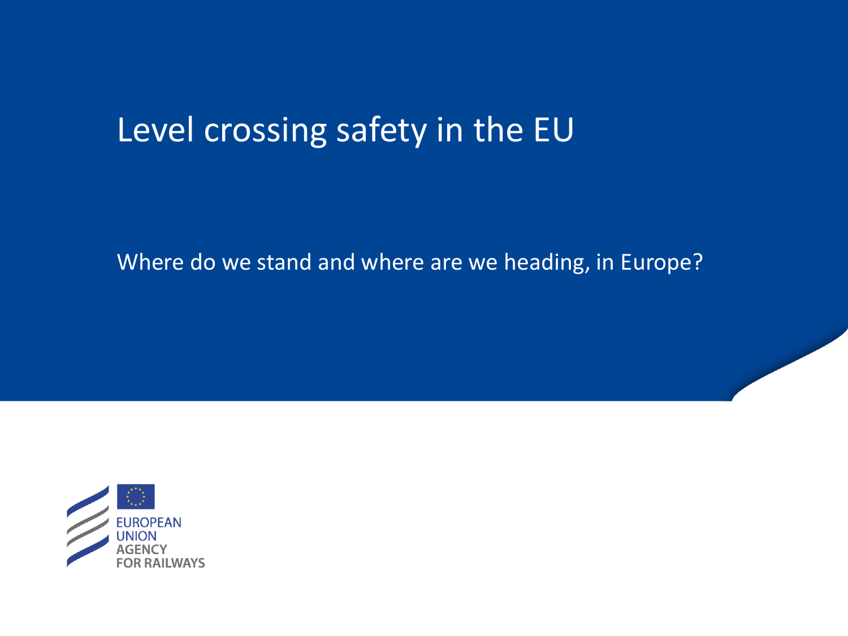# Level crossing safety in the EU

Where do we stand and where are we heading, in Europe?

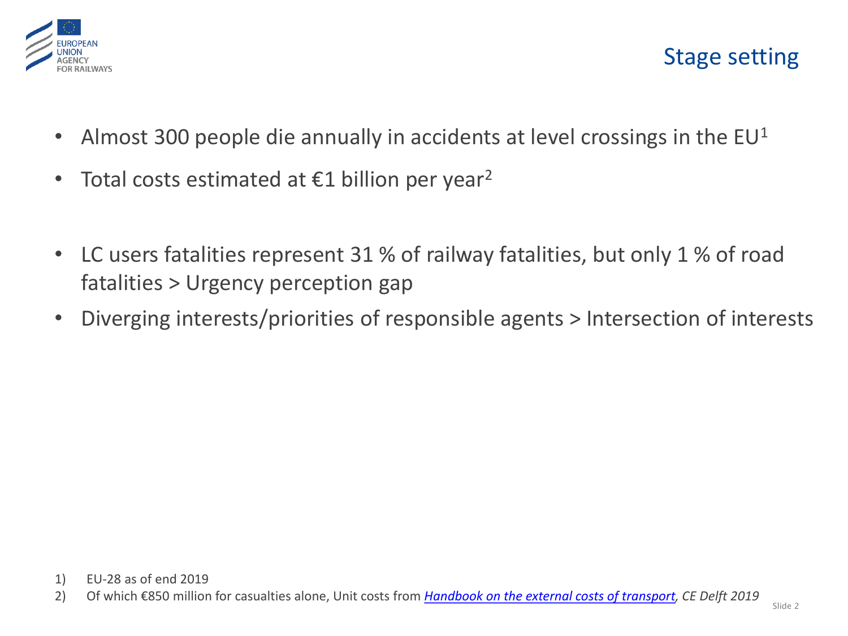

- Almost 300 people die annually in accidents at level crossings in the  $EU^1$
- Total costs estimated at  $\epsilon$ 1 billion per year<sup>2</sup>
- LC users fatalities represent 31 % of railway fatalities, but only 1 % of road fatalities > Urgency perception gap
- Diverging interests/priorities of responsible agents > Intersection of interests

2) Of which €850 million for casualties alone, Unit costs from *[Handbook on the external costs of transport,](https://ec.europa.eu/transport/sites/transport/files/studies/internalisation-handbook-isbn-978-92-79-96917-1.pdf) CE Delft 2019*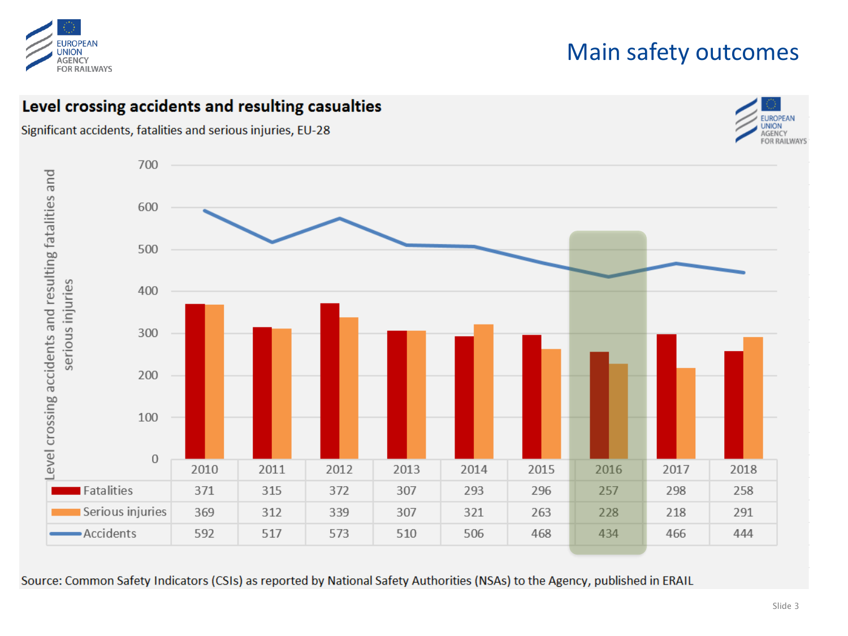

### Main safety outcomes

#### Level crossing accidents and resulting casualties

Significant accidents, fatalities and serious injuries, EU-28





Source: Common Safety Indicators (CSIs) as reported by National Safety Authorities (NSAs) to the Agency, published in ERAIL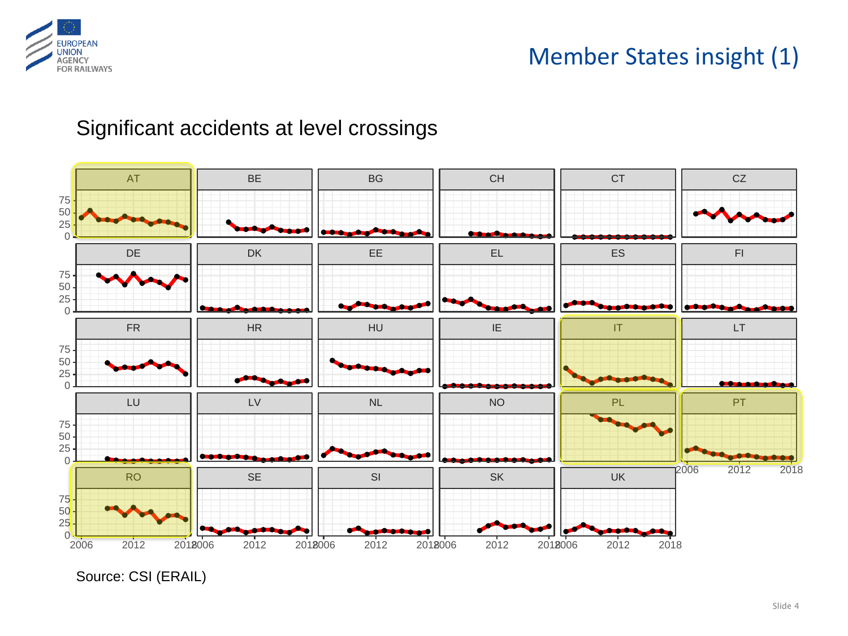

#### Significant accidents at level crossings



Source: CSI (ERAIL)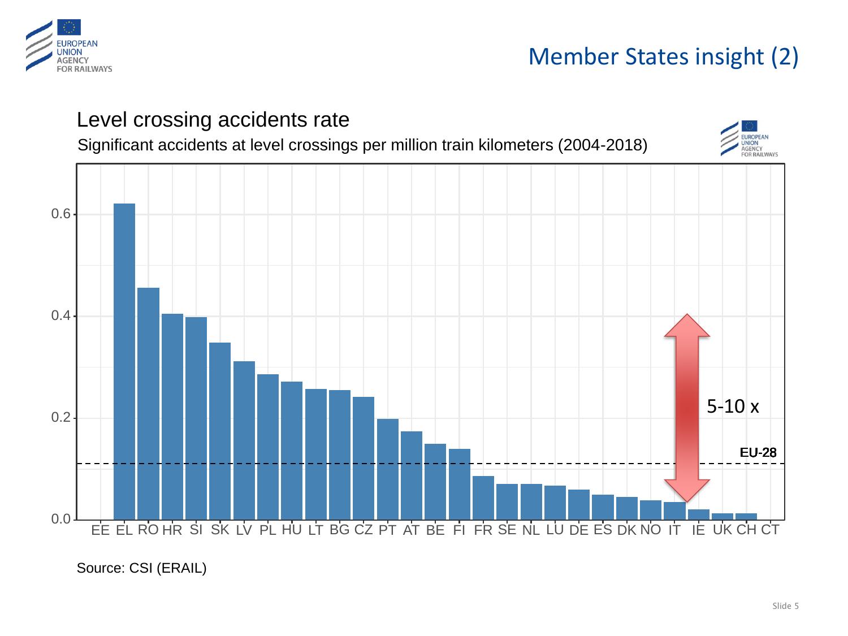

## Member States insight (2)



#### Source: CSI (ERAIL)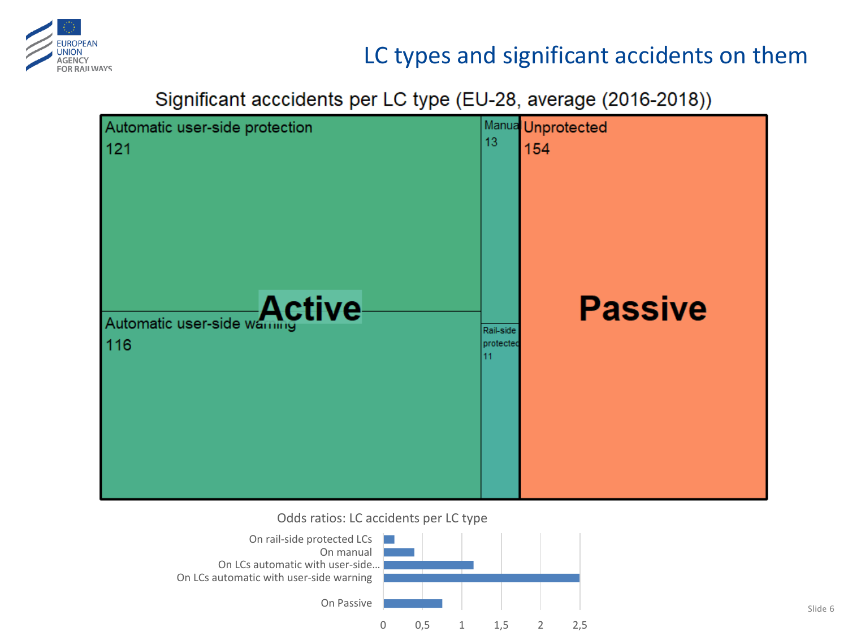

## LC types and significant accidents on them

Significant acccidents per LC type (EU-28, average (2016-2018))



Odds ratios: LC accidents per LC type

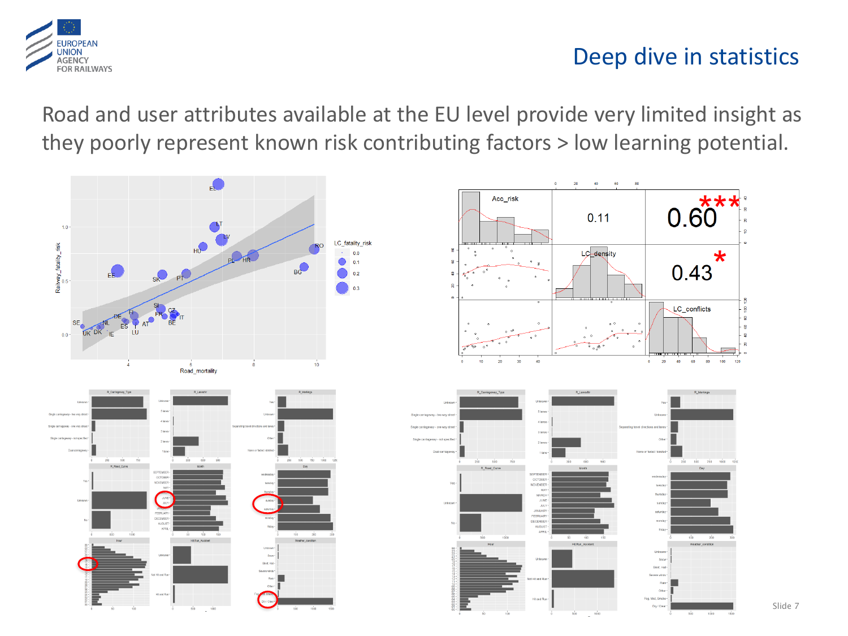

### Deep dive in statistics

Road and user attributes available at the EU level provide very limited insight as they poorly represent known risk contributing factors > low learning potential.



Slide 7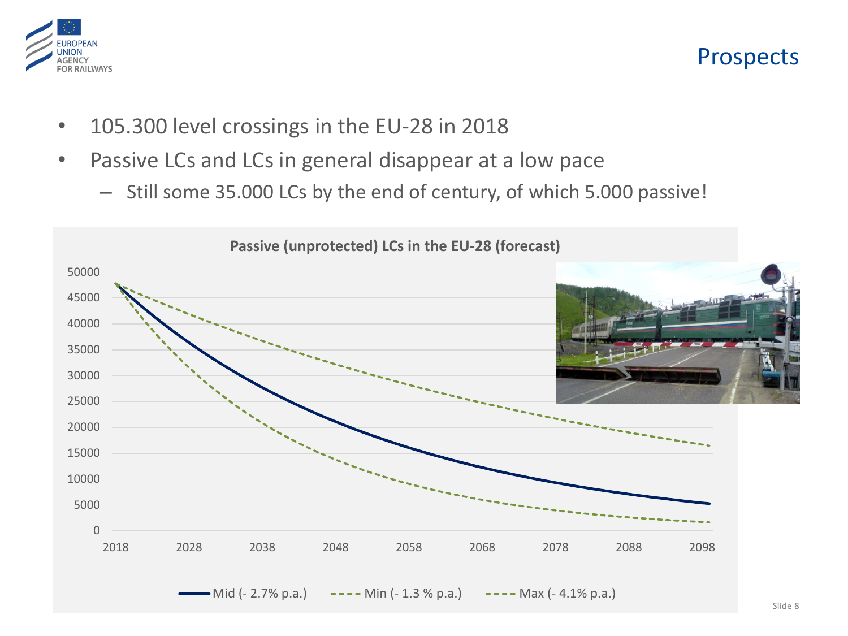

#### Prospects

- 105.300 level crossings in the EU-28 in 2018
- Passive LCs and LCs in general disappear at a low pace
	- Still some 35.000 LCs by the end of century, of which 5.000 passive!

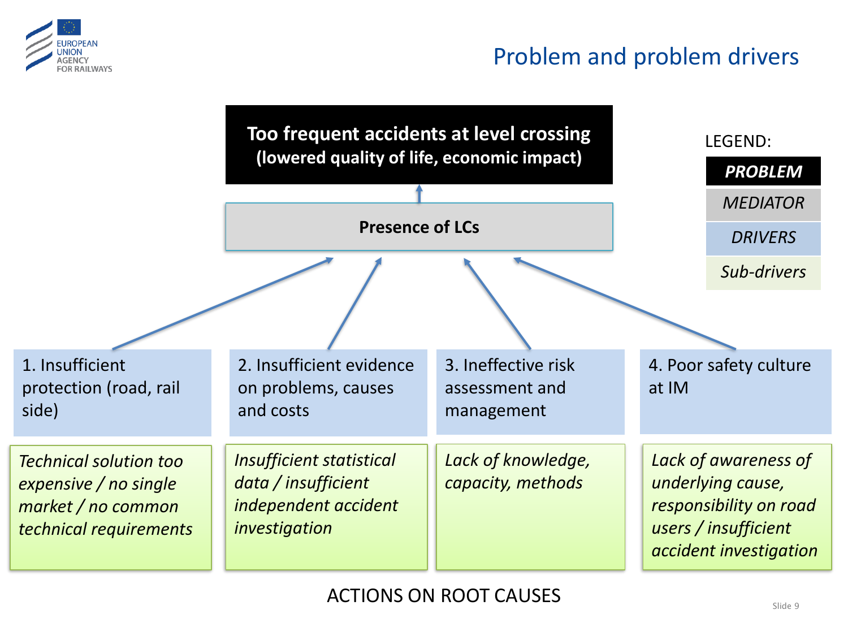

## Problem and problem drivers

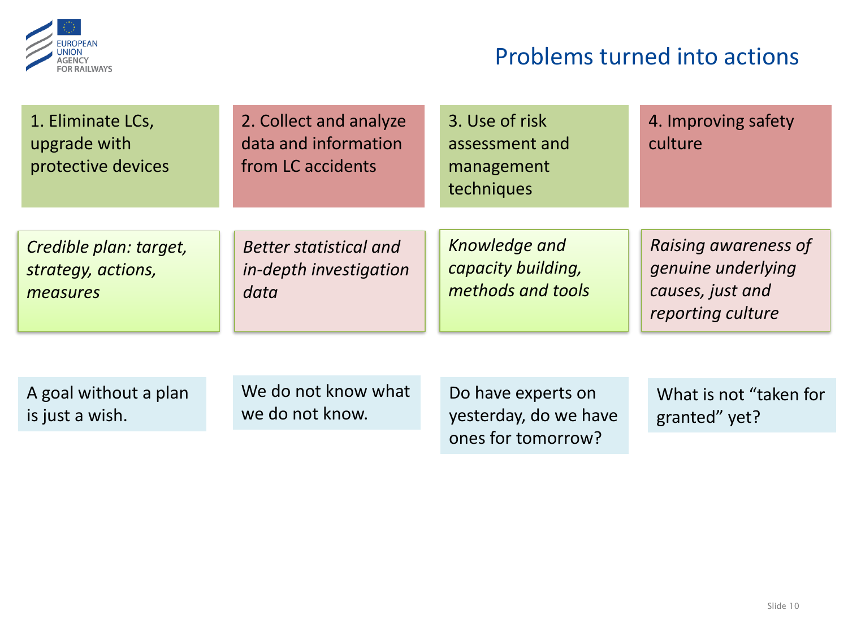

## Problems turned into actions

| 1. Eliminate LCs,<br>upgrade with<br>protective devices  | 2. Collect and analyze<br>data and information<br>from LC accidents | 3. Use of risk<br>assessment and<br>management<br>techniques | 4. Improving safety<br>culture                                                      |
|----------------------------------------------------------|---------------------------------------------------------------------|--------------------------------------------------------------|-------------------------------------------------------------------------------------|
| Credible plan: target,<br>strategy, actions,<br>measures | <b>Better statistical and</b><br>in-depth investigation<br>data     | Knowledge and<br>capacity building,<br>methods and tools     | Raising awareness of<br>genuine underlying<br>causes, just and<br>reporting culture |
|                                                          |                                                                     |                                                              |                                                                                     |
| A goal without a plan<br>is just a wish.                 | We do not know what<br>we do not know.                              | Do have experts on<br>yesterday, do we have                  | What is not "taken for<br>granted" yet?                                             |
|                                                          |                                                                     | ones for tomorrow?                                           |                                                                                     |